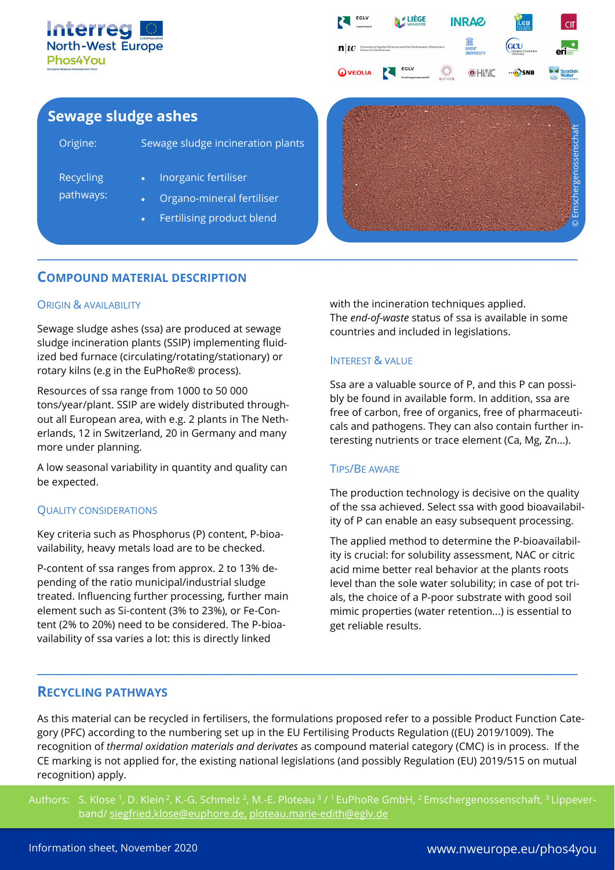



# **Sewage sludge ashes**

| Origine:                      | Sewage sludge incineration plants                 |
|-------------------------------|---------------------------------------------------|
| <b>Recycling</b><br>pathways: | Inorganic fertiliser<br>Organo-mineral fertiliser |
|                               | Fertilising product blend<br>$\bullet$ .          |



## **COMPOUND MATERIAL DESCRIPTION**

#### ORIGIN & AVAILABILITY

Sewage sludge ashes (ssa) are produced at sewage sludge incineration plants (SSIP) implementing fluidized bed furnace (circulating/rotating/stationary) or rotary kilns (e.g in the EuPhoRe® process).

Resources of ssa range from 1000 to 50 000 tons/year/plant. SSIP are widely distributed throughout all European area, with e.g. 2 plants in The Netherlands, 12 in Switzerland, 20 in Germany and many more under planning.

A low seasonal variability in quantity and quality can be expected.

#### QUALITY CONSIDERATIONS

Key criteria such as Phosphorus (P) content, P-bioavailability, heavy metals load are to be checked.

P-content of ssa ranges from approx. 2 to 13% depending of the ratio municipal/industrial sludge treated. Influencing further processing, further main element such as Si-content (3% to 23%), or Fe-Content (2% to 20%) need to be considered. The P-bioavailability of ssa varies a lot: this is directly linked

with the incineration techniques applied. The *end-of-waste* status of ssa is available in some countries and included in legislations.

### INTEREST & VALUE

**\_\_\_\_\_\_\_\_\_\_\_\_\_\_\_\_\_\_\_\_\_\_\_\_\_\_\_\_\_\_\_\_\_\_\_\_\_\_\_\_\_\_\_\_\_\_\_\_\_\_\_\_\_\_\_\_\_\_\_\_\_\_\_\_\_\_\_\_\_\_\_\_\_\_\_\_\_\_\_\_\_\_\_\_\_\_\_\_\_\_\_**

Ssa are a valuable source of P, and this P can possibly be found in available form. In addition, ssa are free of carbon, free of organics, free of pharmaceuticals and pathogens. They can also contain further interesting nutrients or trace element (Ca, Mg, Zn…).

#### TIPS/BE AWARE

The production technology is decisive on the quality of the ssa achieved. Select ssa with good bioavailability of P can enable an easy subsequent processing.

The applied method to determine the P-bioavailability is crucial: for solubility assessment, NAC or citric acid mime better real behavior at the plants roots level than the sole water solubility; in case of pot trials, the choice of a P-poor substrate with good soil mimic properties (water retention...) is essential to get reliable results.

### **RECYCLING PATHWAYS**

As this material can be recycled in fertilisers, the formulations proposed refer to a possible Product Function Category (PFC) according to the numbering set up in the EU Fertilising Products Regulation ((EU) 2019/1009). The recognition of *thermal oxidation materials and derivates* as compound material category (CMC) is in process. If the CE marking is not applied for, the existing national legislations (and possibly Regulation (EU) 2019/515 on mutual recognition) apply.

**\_\_\_\_\_\_\_\_\_\_\_\_\_\_\_\_\_\_\_\_\_\_\_\_\_\_\_\_\_\_\_\_\_\_\_\_\_\_\_\_\_\_\_\_\_\_\_\_\_\_\_\_\_\_\_\_\_\_\_\_\_\_\_\_\_\_\_\_\_\_\_\_\_\_\_\_\_\_\_\_\_\_\_\_\_\_\_\_\_\_\_**

Authors: S. Klose<sup>1</sup>, D. Klein<sup>2</sup>, K.-G. Schmelz<sup>2</sup>, M.-E. Ploteau<sup>3</sup>/<sup>1</sup> EuPhoRe GmbH, <sup>2</sup> Emschergenossenschaft, <sup>3</sup> Lippeverband/ [siegfried.klose@euphore.de,](mailto:siegfried.klose@euphore.de) [ploteau.marie-edith@eglv.de](mailto:ploteau.marie-edith@eglv.de)